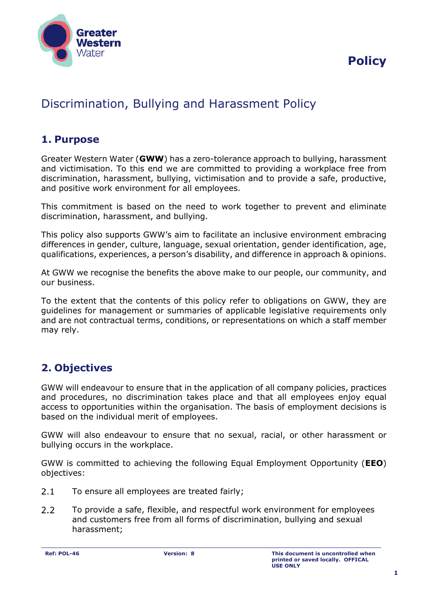

# Discrimination, Bullying and Harassment Policy

## **1. Purpose**

Greater Western Water (**GWW**) has a zero-tolerance approach to bullying, harassment and victimisation. To this end we are committed to providing a workplace free from discrimination, harassment, bullying, victimisation and to provide a safe, productive, and positive work environment for all employees.

This commitment is based on the need to work together to prevent and eliminate discrimination, harassment, and bullying.

This policy also supports GWW's aim to facilitate an inclusive environment embracing differences in gender, culture, language, sexual orientation, gender identification, age, qualifications, experiences, a person's disability, and difference in approach & opinions.

At GWW we recognise the benefits the above make to our people, our community, and our business.

To the extent that the contents of this policy refer to obligations on GWW, they are guidelines for management or summaries of applicable legislative requirements only and are not contractual terms, conditions, or representations on which a staff member may rely.

# **2. Objectives**

GWW will endeavour to ensure that in the application of all company policies, practices and procedures, no discrimination takes place and that all employees enjoy equal access to opportunities within the organisation. The basis of employment decisions is based on the individual merit of employees.

GWW will also endeavour to ensure that no sexual, racial, or other harassment or bullying occurs in the workplace.

GWW is committed to achieving the following Equal Employment Opportunity (**EEO**) objectives:

- $2.1$ To ensure all employees are treated fairly;
- $2.2$ To provide a safe, flexible, and respectful work environment for employees and customers free from all forms of discrimination, bullying and sexual harassment;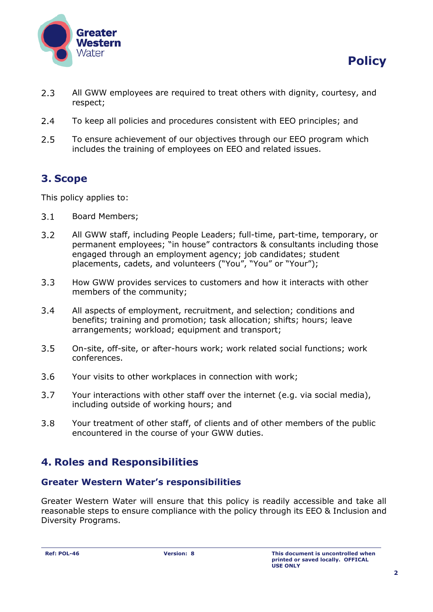



- $2.3$ All GWW employees are required to treat others with dignity, courtesy, and respect;
- $2.4$ To keep all policies and procedures consistent with EEO principles; and
- $2.5$ To ensure achievement of our objectives through our EEO program which includes the training of employees on EEO and related issues.

# **3. Scope**

This policy applies to:

- $3.1$ Board Members;
- $3.2$ All GWW staff, including People Leaders; full-time, part-time, temporary, or permanent employees; "in house" contractors & consultants including those engaged through an employment agency; job candidates; student placements, cadets, and volunteers ("You", "You" or "Your");
- $3.3$ How GWW provides services to customers and how it interacts with other members of the community;
- $3.4$ All aspects of employment, recruitment, and selection; conditions and benefits; training and promotion; task allocation; shifts; hours; leave arrangements; workload; equipment and transport;
- $3.5$ On-site, off-site, or after-hours work; work related social functions; work conferences.
- $3.6$ Your visits to other workplaces in connection with work;
- $3.7$ Your interactions with other staff over the internet (e.g. via social media), including outside of working hours; and
- $3.8$ Your treatment of other staff, of clients and of other members of the public encountered in the course of your GWW duties.

# **4. Roles and Responsibilities**

### **Greater Western Water's responsibilities**

Greater Western Water will ensure that this policy is readily accessible and take all reasonable steps to ensure compliance with the policy through its EEO & Inclusion and Diversity Programs.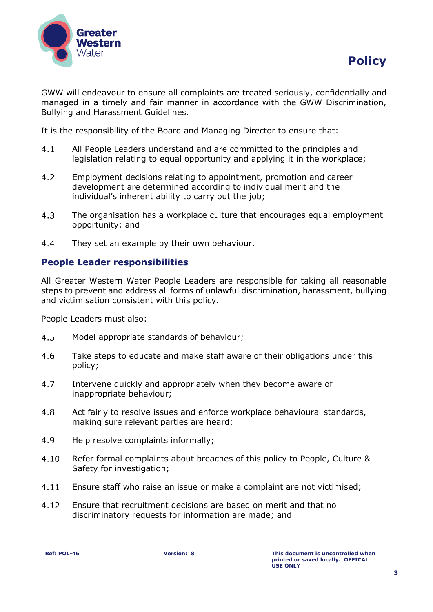



GWW will endeavour to ensure all complaints are treated seriously, confidentially and managed in a timely and fair manner in accordance with the GWW Discrimination, Bullying and Harassment Guidelines.

It is the responsibility of the Board and Managing Director to ensure that:

- $4.1$ All People Leaders understand and are committed to the principles and legislation relating to equal opportunity and applying it in the workplace;
- $4.2$ Employment decisions relating to appointment, promotion and career development are determined according to individual merit and the individual's inherent ability to carry out the job;
- $4.3$ The organisation has a workplace culture that encourages equal employment opportunity; and
- $4.4$ They set an example by their own behaviour.

### **People Leader responsibilities**

All Greater Western Water People Leaders are responsible for taking all reasonable steps to prevent and address all forms of unlawful discrimination, harassment, bullying and victimisation consistent with this policy.

People Leaders must also:

- 4.5 Model appropriate standards of behaviour;
- 4.6 Take steps to educate and make staff aware of their obligations under this policy;
- $4.7$ Intervene quickly and appropriately when they become aware of inappropriate behaviour;
- 4.8 Act fairly to resolve issues and enforce workplace behavioural standards, making sure relevant parties are heard;
- 4.9 Help resolve complaints informally;
- 4.10 Refer formal complaints about breaches of this policy to People, Culture & Safety for investigation;
- $4.11$ Ensure staff who raise an issue or make a complaint are not victimised;
- $4.12$ Ensure that recruitment decisions are based on merit and that no discriminatory requests for information are made; and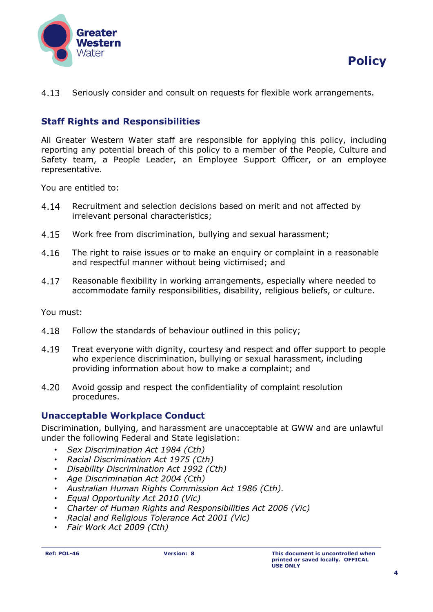



 $4.13$ Seriously consider and consult on requests for flexible work arrangements.

## **Staff Rights and Responsibilities**

All Greater Western Water staff are responsible for applying this policy, including reporting any potential breach of this policy to a member of the People, Culture and Safety team, a People Leader, an Employee Support Officer, or an employee representative.

You are entitled to:

- 4.14 Recruitment and selection decisions based on merit and not affected by irrelevant personal characteristics;
- 4.15 Work free from discrimination, bullying and sexual harassment;
- $4.16$ The right to raise issues or to make an enquiry or complaint in a reasonable and respectful manner without being victimised; and
- 4.17 Reasonable flexibility in working arrangements, especially where needed to accommodate family responsibilities, disability, religious beliefs, or culture.

You must:

- 4.18 Follow the standards of behaviour outlined in this policy;
- 4.19 Treat everyone with dignity, courtesy and respect and offer support to people who experience discrimination, bullying or sexual harassment, including providing information about how to make a complaint; and
- $4.20$ Avoid gossip and respect the confidentiality of complaint resolution procedures.

#### **Unacceptable Workplace Conduct**

Discrimination, bullying, and harassment are unacceptable at GWW and are unlawful under the following Federal and State legislation:

- *Sex Discrimination Act 1984 (Cth)*
- *Racial Discrimination Act 1975 (Cth)*
- *Disability Discrimination Act 1992 (Cth)*
- *Age Discrimination Act 2004 (Cth)*
- *Australian Human Rights Commission Act 1986 (Cth).*
- *Equal Opportunity Act 2010 (Vic)*
- *Charter of Human Rights and Responsibilities Act 2006 (Vic)*
- *Racial and Religious Tolerance Act 2001 (Vic)*
- *Fair Work Act 2009 (Cth)*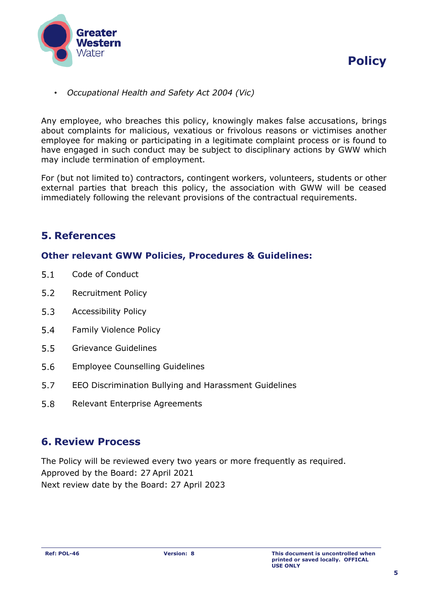



• *Occupational Health and Safety Act 2004 (Vic)*

Any employee, who breaches this policy, knowingly makes false accusations, brings about complaints for malicious, vexatious or frivolous reasons or victimises another employee for making or participating in a legitimate complaint process or is found to have engaged in such conduct may be subject to disciplinary actions by GWW which may include termination of employment.

For (but not limited to) contractors, contingent workers, volunteers, students or other external parties that breach this policy, the association with GWW will be ceased immediately following the relevant provisions of the contractual requirements.

## **5. References**

#### **Other relevant GWW Policies, Procedures & Guidelines:**

- $5.1$ Code of Conduct
- $5.2$ Recruitment Policy
- $5.3$ Accessibility Policy
- $5.4$ Family Violence Policy
- $5.5$ Grievance Guidelines
- $5.6$ Employee Counselling Guidelines
- $5.7$ EEO Discrimination Bullying and Harassment Guidelines
- 5.8 Relevant Enterprise Agreements

## **6. Review Process**

The Policy will be reviewed every two years or more frequently as required. Approved by the Board: 27 April 2021 Next review date by the Board: 27 April 2023